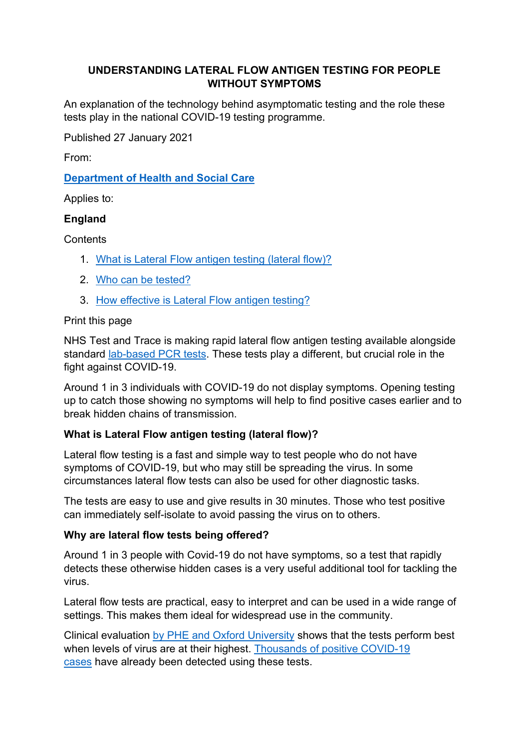# **UNDERSTANDING LATERAL FLOW ANTIGEN TESTING FOR PEOPLE WITHOUT SYMPTOMS**

An explanation of the technology behind asymptomatic testing and the role these tests play in the national COVID-19 testing programme.

Published 27 January 2021

From:

**Department of Health and Social Care**

Applies to:

# **England**

**Contents** 

- 1. What is Lateral Flow antigen testing (lateral flow)?
- 2. Who can be tested?
- 3. How effective is Lateral Flow antigen testing?

## Print this page

NHS Test and Trace is making rapid lateral flow antigen testing available alongside standard lab-based PCR tests. These tests play a different, but crucial role in the fight against COVID-19.

Around 1 in 3 individuals with COVID-19 do not display symptoms. Opening testing up to catch those showing no symptoms will help to find positive cases earlier and to break hidden chains of transmission.

# **What is Lateral Flow antigen testing (lateral flow)?**

Lateral flow testing is a fast and simple way to test people who do not have symptoms of COVID-19, but who may still be spreading the virus. In some circumstances lateral flow tests can also be used for other diagnostic tasks.

The tests are easy to use and give results in 30 minutes. Those who test positive can immediately self-isolate to avoid passing the virus on to others.

# **Why are lateral flow tests being offered?**

Around 1 in 3 people with Covid-19 do not have symptoms, so a test that rapidly detects these otherwise hidden cases is a very useful additional tool for tackling the virus.

Lateral flow tests are practical, easy to interpret and can be used in a wide range of settings. This makes them ideal for widespread use in the community.

Clinical evaluation by PHE and Oxford University shows that the tests perform best when levels of virus are at their highest. Thousands of positive COVID-19 cases have already been detected using these tests.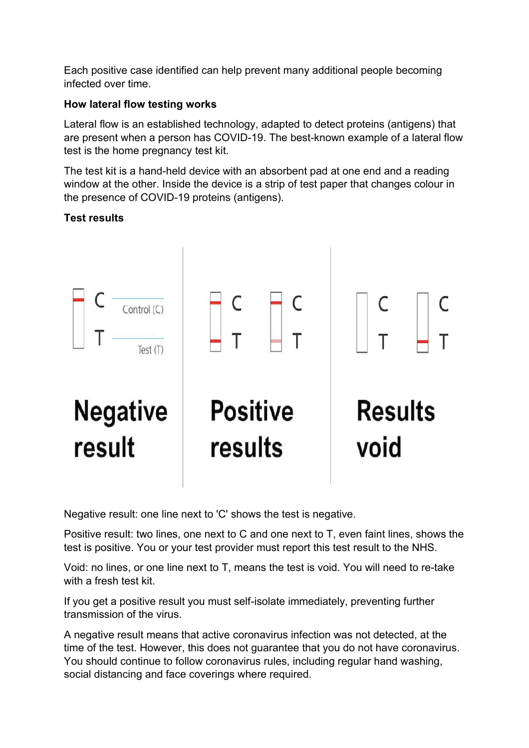Each positive case identified can help prevent many additional people becoming infected over time.

# **How lateral flow testing works**

Lateral flow is an established technology, adapted to detect proteins (antigens) that are present when a person has COVID-19. The best-known example of a lateral flow test is the home pregnancy test kit.

The test kit is a hand-held device with an absorbent pad at one end and a reading window at the other. Inside the device is a strip of test paper that changes colour in the presence of COVID-19 proteins (antigens).

# **Test results**



Negative result: one line next to 'C' shows the test is negative.

Positive result: two lines, one next to C and one next to T, even faint lines, shows the test is positive. You or your test provider must report this test result to the NHS.

Void: no lines, or one line next to T, means the test is void. You will need to re-take with a fresh test kit.

If you get a positive result you must self-isolate immediately, preventing further transmission of the virus.

A negative result means that active coronavirus infection was not detected, at the time of the test. However, this does not guarantee that you do not have coronavirus. You should continue to follow coronavirus rules, including regular hand washing, social distancing and face coverings where required.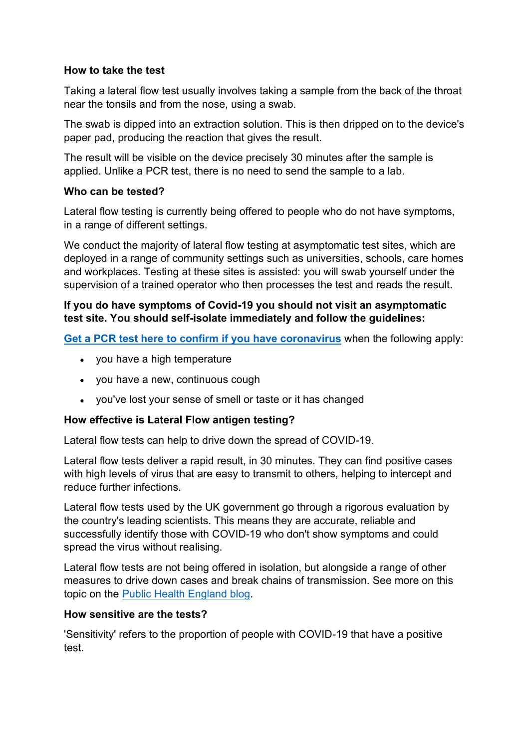#### **How to take the test**

Taking a lateral flow test usually involves taking a sample from the back of the throat near the tonsils and from the nose, using a swab.

The swab is dipped into an extraction solution. This is then dripped on to the device's paper pad, producing the reaction that gives the result.

The result will be visible on the device precisely 30 minutes after the sample is applied. Unlike a PCR test, there is no need to send the sample to a lab.

## **Who can be tested?**

Lateral flow testing is currently being offered to people who do not have symptoms, in a range of different settings.

We conduct the majority of lateral flow testing at asymptomatic test sites, which are deployed in a range of community settings such as universities, schools, care homes and workplaces. Testing at these sites is assisted: you will swab yourself under the supervision of a trained operator who then processes the test and reads the result.

## **If you do have symptoms of Covid-19 you should not visit an asymptomatic test site. You should self-isolate immediately and follow the guidelines:**

**Get a PCR test here to confirm if you have coronavirus** when the following apply:

- you have a high temperature
- you have a new, continuous cough
- you've lost your sense of smell or taste or it has changed

# **How effective is Lateral Flow antigen testing?**

Lateral flow tests can help to drive down the spread of COVID-19.

Lateral flow tests deliver a rapid result, in 30 minutes. They can find positive cases with high levels of virus that are easy to transmit to others, helping to intercept and reduce further infections.

Lateral flow tests used by the UK government go through a rigorous evaluation by the country's leading scientists. This means they are accurate, reliable and successfully identify those with COVID-19 who don't show symptoms and could spread the virus without realising.

Lateral flow tests are not being offered in isolation, but alongside a range of other measures to drive down cases and break chains of transmission. See more on this topic on the Public Health England blog.

# **How sensitive are the tests?**

'Sensitivity' refers to the proportion of people with COVID-19 that have a positive test.